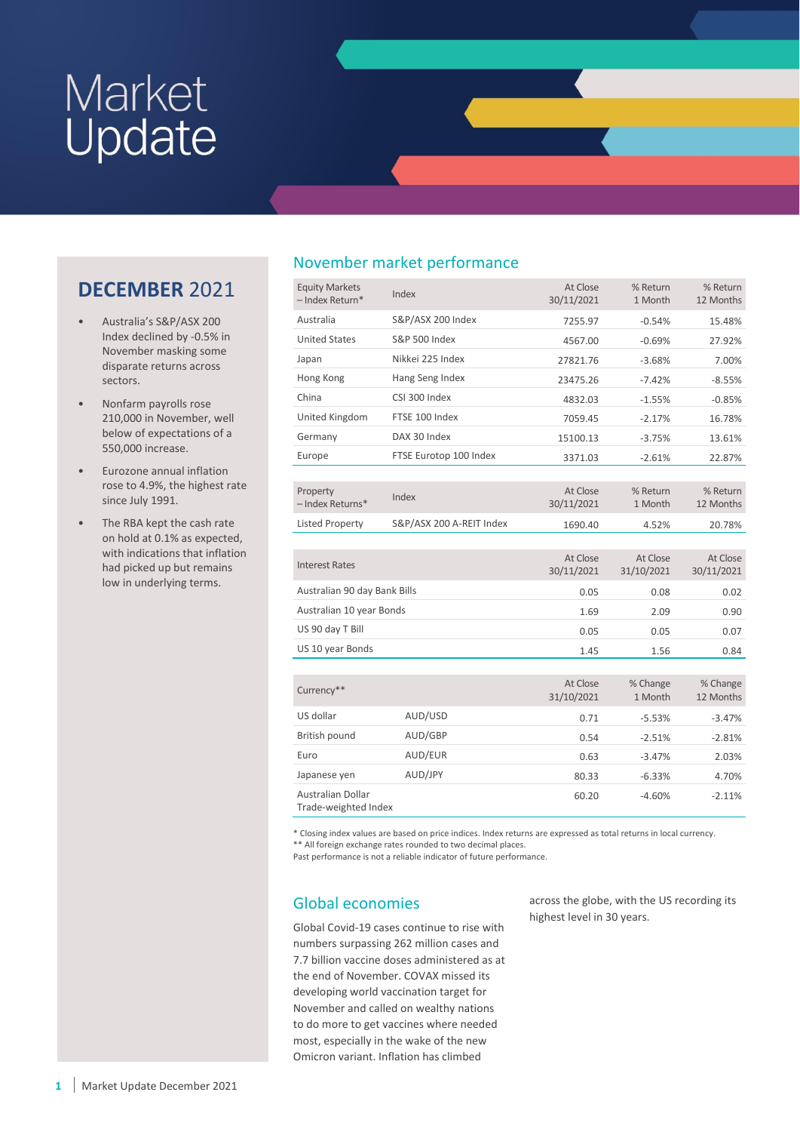# Market<br>Update

# **DECEMBER** 2021

- Australia's S&P/ASX 200 Index declined by -0.5% in November masking some disparate returns across sectors.
- Nonfarm payrolls rose 210,000 in November, well below of expectations of a 550,000 increase.
- Eurozone annual inflation rose to 4.9%, the highest rate since July 1991.
- The RBA kept the cash rate on hold at 0.1% as expected, with indications that inflation had picked up but remains low in underlying terms.

# November market performance

| <b>Equity Markets</b><br>- Index Return*         | Index                    | At Close<br>30/11/2021 | % Return<br>1 Month    | % Return<br>12 Months  |
|--------------------------------------------------|--------------------------|------------------------|------------------------|------------------------|
| Australia                                        | S&P/ASX 200 Index        | 7255.97                | $-0.54%$               | 15.48%                 |
| <b>United States</b><br><b>S&amp;P 500 Index</b> |                          | 4567.00                | $-0.69%$               | 27.92%                 |
| Japan                                            | Nikkei 225 Index         | 27821.76               | $-3.68%$               | 7.00%                  |
| Hong Kong                                        | Hang Seng Index          | 23475.26               | $-7.42%$               | $-8.55%$               |
| China                                            | CSI 300 Index            | 4832.03                | $-1.55%$               | $-0.85%$               |
| United Kingdom                                   | FTSE 100 Index           | 7059.45                | $-2.17%$               | 16.78%                 |
| Germany                                          | DAX 30 Index             | 15100.13               | $-3.75%$               | 13.61%                 |
| Europe                                           | FTSE Eurotop 100 Index   | 3371.03                | $-2.61%$               | 22.87%                 |
|                                                  |                          |                        |                        |                        |
| Property<br>- Index Returns*                     | Index                    | At Close<br>30/11/2021 | % Return<br>1 Month    | % Return<br>12 Months  |
| <b>Listed Property</b>                           | S&P/ASX 200 A-REIT Index | 1690.40                | 4.52%                  | 20.78%                 |
|                                                  |                          |                        |                        |                        |
|                                                  |                          |                        |                        |                        |
| <b>Interest Rates</b>                            |                          | At Close<br>30/11/2021 | At Close<br>31/10/2021 | At Close<br>30/11/2021 |
| Australian 90 day Bank Bills                     |                          | 0.05                   | 0.08                   | 0.02                   |
| Australian 10 year Bonds                         |                          | 1.69                   | 2.09                   | 0.90                   |
| US 90 day T Bill                                 |                          | 0.05                   | 0.05                   | 0.07                   |
| US 10 year Bonds                                 |                          | 1.45                   | 1.56                   | 0.84                   |
|                                                  |                          |                        |                        |                        |
| Currency**                                       |                          | At Close<br>31/10/2021 | % Change<br>1 Month    | % Change<br>12 Months  |
| US dollar                                        | AUD/USD                  | 0.71                   | $-5.53%$               | $-3.47%$               |
| British pound                                    | AUD/GBP                  | 0.54                   | $-2.51%$               | $-2.81%$               |
| Euro                                             | AUD/EUR                  | 0.63                   | $-3.47%$               | 2.03%                  |
| Japanese yen                                     | AUD/JPY                  | 80.33                  | $-6.33%$               | 4.70%                  |

\* Closing index values are based on price indices. Index returns are expressed as total returns in local currency. \*\* All foreign exchange rates rounded to two decimal places.

Past performance is not a reliable indicator of future performance.

# Global economies

Global Covid-19 cases continue to rise with numbers surpassing 262 million cases and 7.7 billion vaccine doses administered as at the end of November. COVAX missed its developing world vaccination target for November and called on wealthy nations to do more to get vaccines where needed most, especially in the wake of the new Omicron variant. Inflation has climbed

across the globe, with the US recording its highest level in 30 years.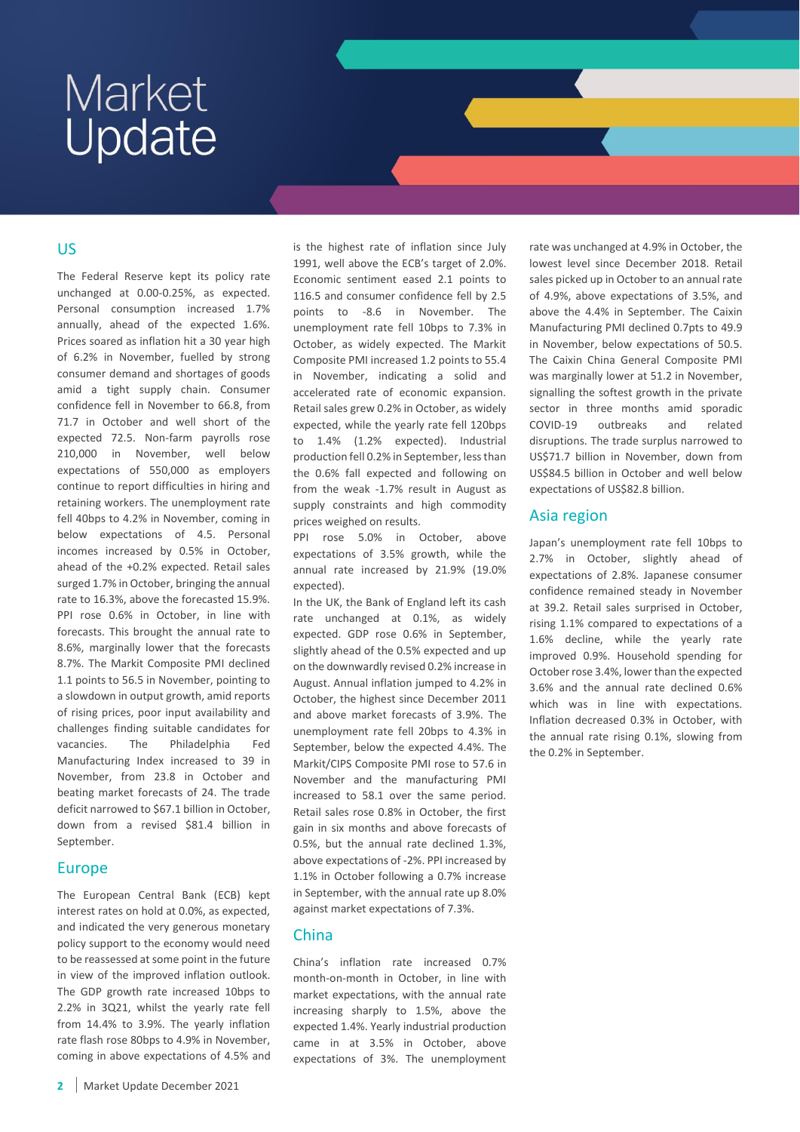## US

The Federal Reserve kept its policy rate unchanged at 0.00-0.25%, as expected. Personal consumption increased 1.7% annually, ahead of the expected 1.6%. Prices soared as inflation hit a 30 year high of 6.2% in November, fuelled by strong consumer demand and shortages of goods amid a tight supply chain. Consumer confidence fell in November to 66.8, from 71.7 in October and well short of the expected 72.5. Non-farm payrolls rose 210,000 in November, well below expectations of 550,000 as employers continue to report difficulties in hiring and retaining workers. The unemployment rate fell 40bps to 4.2% in November, coming in below expectations of 4.5. Personal incomes increased by 0.5% in October, ahead of the +0.2% expected. Retail sales surged 1.7% in October, bringing the annual rate to 16.3%, above the forecasted 15.9%. PPI rose 0.6% in October, in line with forecasts. This brought the annual rate to 8.6%, marginally lower that the forecasts 8.7%. The Markit Composite PMI declined 1.1 points to 56.5 in November, pointing to a slowdown in output growth, amid reports of rising prices, poor input availability and challenges finding suitable candidates for vacancies. The Philadelphia Fed Manufacturing Index increased to 39 in November, from 23.8 in October and beating market forecasts of 24. The trade deficit narrowed to \$67.1 billion in October, down from a revised \$81.4 billion in September.

#### Europe

The European Central Bank (ECB) kept interest rates on hold at 0.0%, as expected, and indicated the very generous monetary policy support to the economy would need to be reassessed at some point in the future in view of the improved inflation outlook. The GDP growth rate increased 10bps to 2.2% in 3Q21, whilst the yearly rate fell from 14.4% to 3.9%. The yearly inflation rate flash rose 80bps to 4.9% in November, coming in above expectations of 4.5% and

is the highest rate of inflation since July 1991, well above the ECB's target of 2.0%. Economic sentiment eased 2.1 points to 116.5 and consumer confidence fell by 2.5 points to -8.6 in November. The unemployment rate fell 10bps to 7.3% in October, as widely expected. The Markit Composite PMI increased 1.2 points to 55.4 in November, indicating a solid and accelerated rate of economic expansion. Retail sales grew 0.2% in October, as widely expected, while the yearly rate fell 120bps to 1.4% (1.2% expected). Industrial production fell 0.2% in September, less than the 0.6% fall expected and following on from the weak -1.7% result in August as supply constraints and high commodity prices weighed on results.

PPI rose 5.0% in October, above expectations of 3.5% growth, while the annual rate increased by 21.9% (19.0% expected).

In the UK, the Bank of England left its cash rate unchanged at 0.1%, as widely expected. GDP rose 0.6% in September, slightly ahead of the 0.5% expected and up on the downwardly revised 0.2% increase in August. Annual inflation jumped to 4.2% in October, the highest since December 2011 and above market forecasts of 3.9%. The unemployment rate fell 20bps to 4.3% in September, below the expected 4.4%. The Markit/CIPS Composite PMI rose to 57.6 in November and the manufacturing PMI increased to 58.1 over the same period. Retail sales rose 0.8% in October, the first gain in six months and above forecasts of 0.5%, but the annual rate declined 1.3%, above expectations of -2%. PPI increased by 1.1% in October following a 0.7% increase in September, with the annual rate up 8.0% against market expectations of 7.3%.

#### China

China's inflation rate increased 0.7% month-on-month in October, in line with market expectations, with the annual rate increasing sharply to 1.5%, above the expected 1.4%. Yearly industrial production came in at 3.5% in October, above expectations of 3%. The unemployment

rate was unchanged at 4.9% in October, the lowest level since December 2018. Retail sales picked up in October to an annual rate of 4.9%, above expectations of 3.5%, and above the 4.4% in September. The Caixin Manufacturing PMI declined 0.7pts to 49.9 in November, below expectations of 50.5. The Caixin China General Composite PMI was marginally lower at 51.2 in November, signalling the softest growth in the private sector in three months amid sporadic COVID-19 outbreaks and related disruptions. The trade surplus narrowed to US\$71.7 billion in November, down from US\$84.5 billion in October and well below expectations of US\$82.8 billion.

## Asia region

Japan's unemployment rate fell 10bps to 2.7% in October, slightly ahead of expectations of 2.8%. Japanese consumer confidence remained steady in November at 39.2. Retail sales surprised in October, rising 1.1% compared to expectations of a 1.6% decline, while the yearly rate improved 0.9%. Household spending for October rose 3.4%, lower than the expected 3.6% and the annual rate declined 0.6% which was in line with expectations. Inflation decreased 0.3% in October, with the annual rate rising 0.1%, slowing from the 0.2% in September.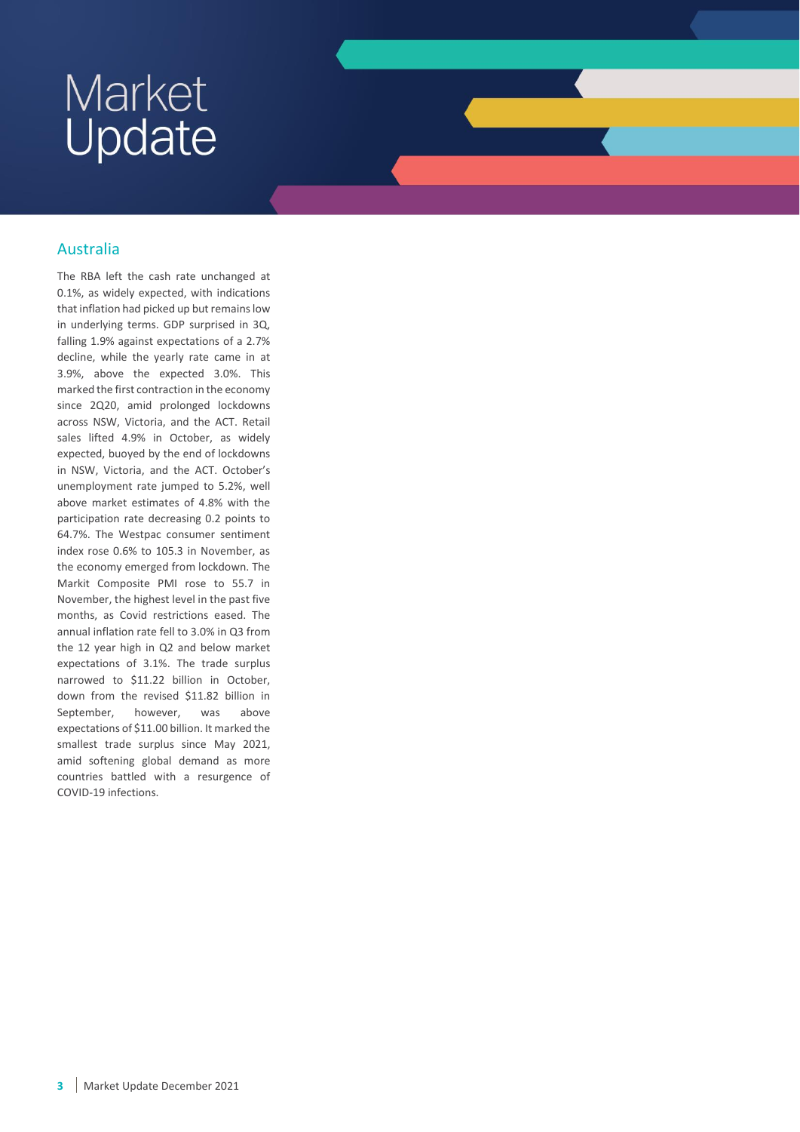# Australia

The RBA left the cash rate unchanged at 0.1%, as widely expected, with indications that inflation had picked up but remains low in underlying terms. GDP surprised in 3Q, falling 1.9% against expectations of a 2.7% decline, while the yearly rate came in at 3.9%, above the expected 3.0%. This marked the first contraction in the economy since 2Q20, amid prolonged lockdowns across NSW, Victoria, and the ACT. Retail sales lifted 4.9% in October, as widely expected, buoyed by the end of lockdowns in NSW, Victoria, and the ACT. October's unemployment rate jumped to 5.2%, well above market estimates of 4.8% with the participation rate decreasing 0.2 points to 64.7%. The Westpac consumer sentiment index rose 0.6% to 105.3 in November, as the economy emerged from lockdown. The Markit Composite PMI rose to 55.7 in November, the highest level in the past five months, as Covid restrictions eased. The annual inflation rate fell to 3.0% in Q3 from the 12 year high in Q2 and below market expectations of 3.1%. The trade surplus narrowed to \$11.22 billion in October, down from the revised \$11.82 billion in September, however, was above expectations of \$11.00 billion. It marked the smallest trade surplus since May 2021, amid softening global demand as more countries battled with a resurgence of COVID-19 infections.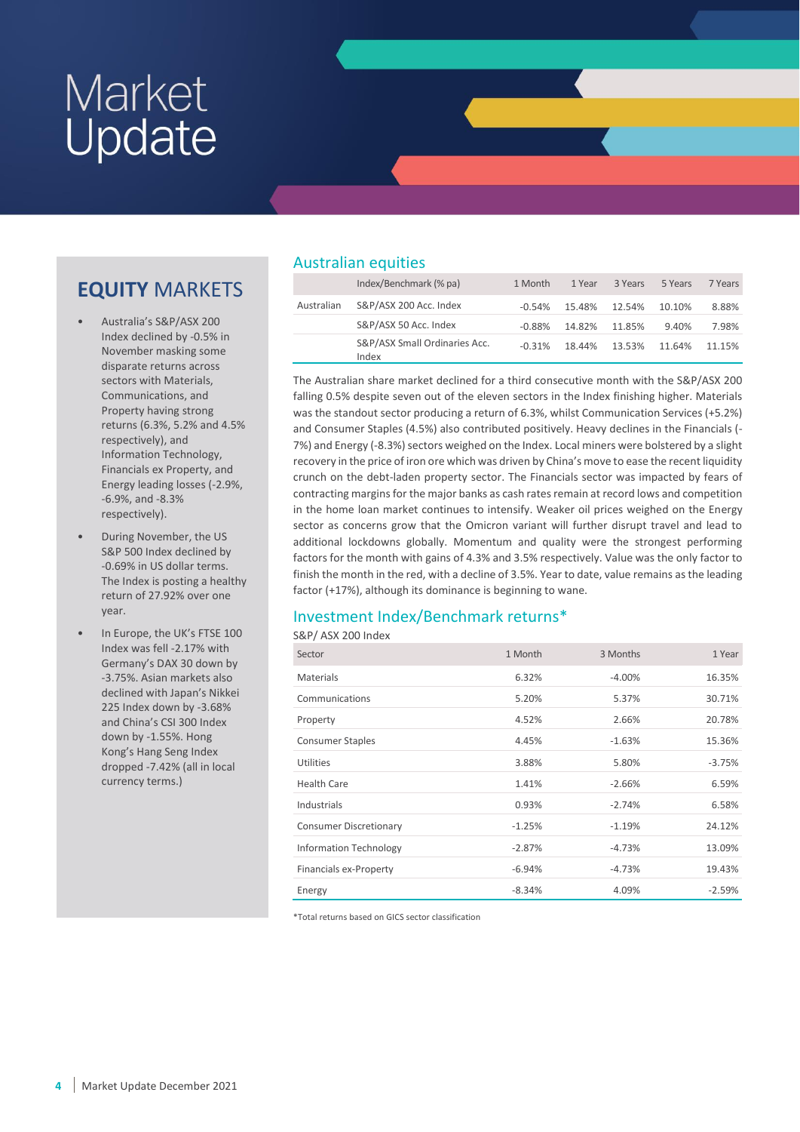# **EQUITY** MARKETS

- Australia's S&P/ASX 200 Index declined by -0.5% in November masking some disparate returns across sectors with Materials, Communications, and Property having strong returns (6.3%, 5.2% and 4.5% respectively), and Information Technology, Financials ex Property, and Energy leading losses (-2.9%, -6.9%, and -8.3% respectively).
- During November, the US S&P 500 Index declined by -0.69% in US dollar terms. The Index is posting a healthy return of 27.92% over one year.
- In Europe, the UK's FTSE 100 Index was fell -2.17% with Germany's DAX 30 down by -3.75%. Asian markets also declined with Japan's Nikkei 225 Index down by -3.68% and China's CSI 300 Index down by -1.55%. Hong Kong's Hang Seng Index dropped -7.42% (all in local currency terms.)

# Australian equities

|            | Index/Benchmark (% pa)                 | 1 Month  | 1 Year | 3 Years | 5 Years | 7 Years |
|------------|----------------------------------------|----------|--------|---------|---------|---------|
| Australian | S&P/ASX 200 Acc. Index                 | $-0.54%$ | 15.48% | 12.54%  | 10.10%  | 8.88%   |
|            | S&P/ASX 50 Acc. Index                  | $-0.88%$ | 14.82% | 11.85%  | 9.40%   | 7.98%   |
|            | S&P/ASX Small Ordinaries Acc.<br>Index | $-0.31%$ | 18.44% | 13.53%  | 11.64%  | 11.15%  |

The Australian share market declined for a third consecutive month with the S&P/ASX 200 falling 0.5% despite seven out of the eleven sectors in the Index finishing higher. Materials was the standout sector producing a return of 6.3%, whilst Communication Services (+5.2%) and Consumer Staples (4.5%) also contributed positively. Heavy declines in the Financials (- 7%) and Energy (-8.3%) sectors weighed on the Index. Local miners were bolstered by a slight recovery in the price of iron ore which was driven by China's move to ease the recent liquidity crunch on the debt-laden property sector. The Financials sector was impacted by fears of contracting margins for the major banks as cash rates remain at record lows and competition in the home loan market continues to intensify. Weaker oil prices weighed on the Energy sector as concerns grow that the Omicron variant will further disrupt travel and lead to additional lockdowns globally. Momentum and quality were the strongest performing factors for the month with gains of 4.3% and 3.5% respectively. Value was the only factor to finish the month in the red, with a decline of 3.5%. Year to date, value remains as the leading factor (+17%), although its dominance is beginning to wane.

## Investment Index/Benchmark returns\*

S&P/ ASX 200 Index

| Sector                        | 1 Month  | 3 Months | 1 Year   |
|-------------------------------|----------|----------|----------|
| <b>Materials</b>              | 6.32%    | $-4.00%$ | 16.35%   |
| Communications                | 5.20%    | 5.37%    | 30.71%   |
| Property                      | 4.52%    | 2.66%    | 20.78%   |
| <b>Consumer Staples</b>       | 4.45%    | $-1.63%$ | 15.36%   |
| Utilities                     | 3.88%    | 5.80%    | $-3.75%$ |
| <b>Health Care</b>            | 1.41%    | $-2.66%$ | 6.59%    |
| Industrials                   | 0.93%    | $-2.74%$ | 6.58%    |
| <b>Consumer Discretionary</b> | $-1.25%$ | $-1.19%$ | 24.12%   |
| <b>Information Technology</b> | $-2.87%$ | $-4.73%$ | 13.09%   |
| Financials ex-Property        | $-6.94%$ | $-4.73%$ | 19.43%   |
| Energy                        | $-8.34%$ | 4.09%    | $-2.59%$ |

\*Total returns based on GICS sector classification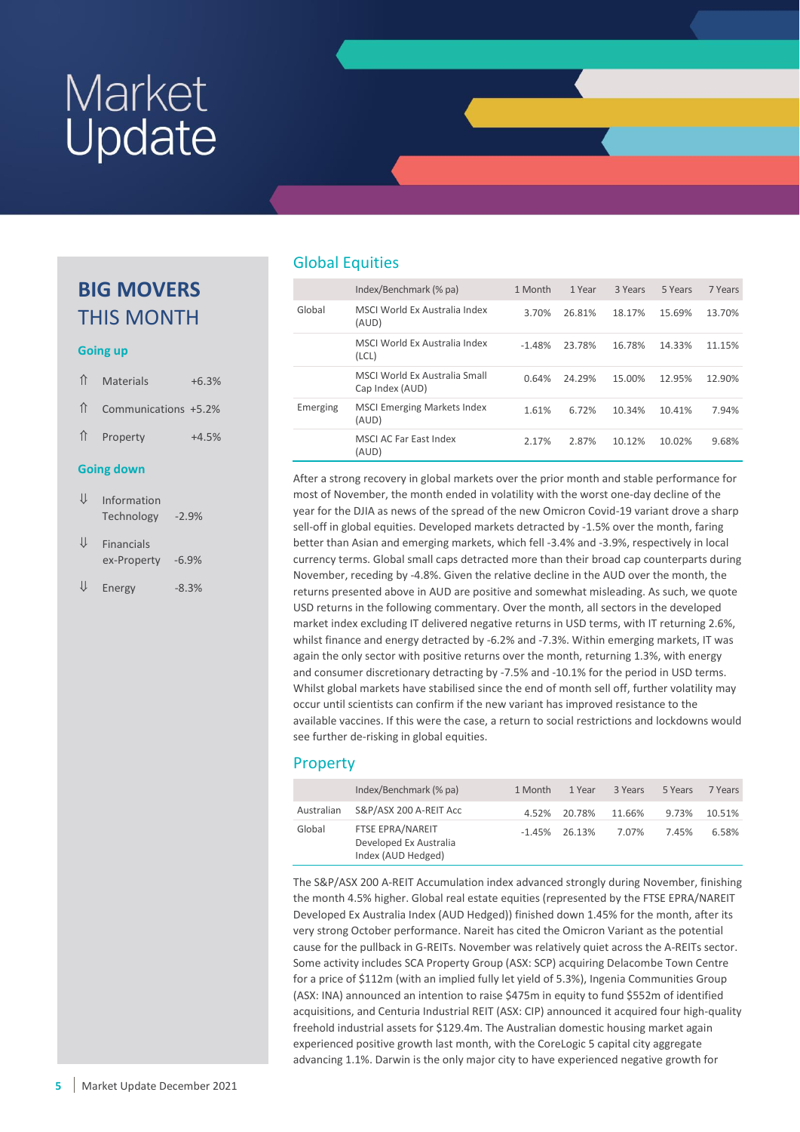# **BIG MOVERS** THIS MONTH

#### **Going up**

| ⇑                  | Materials            | $+6.3%$ |
|--------------------|----------------------|---------|
| ⇑                  | Communications +5.2% |         |
| $\hat{\mathbb{L}}$ | Property             | $+4.5%$ |
|                    |                      |         |
|                    | <b>Going down</b>    |         |

| ⇓ | <b>Financials</b> |         |
|---|-------------------|---------|
|   | ex-Property       | $-6.9%$ |
|   |                   |         |

 $\downarrow$  Energy -8.3%

# Global Equities

|          | Index/Benchmark (% pa)                          | 1 Month  | 1 Year | 3 Years | 5 Years | 7 Years |
|----------|-------------------------------------------------|----------|--------|---------|---------|---------|
| Global   | MSCI World Ex Australia Index<br>(AUD)          | 3.70%    | 26.81% | 18.17%  | 15.69%  | 13.70%  |
|          | MSCLWorld Ex Australia Index<br>(LCL)           | $-1.48%$ | 23.78% | 16.78%  | 14.33%  | 11.15%  |
|          | MSCLWorld Ex Australia Small<br>Cap Index (AUD) | 0.64%    | 24.29% | 15.00%  | 12.95%  | 12.90%  |
| Emerging | <b>MSCI Emerging Markets Index</b><br>(AUD)     | 1.61%    | 6.72%  | 10.34%  | 10.41%  | 7.94%   |
|          | MSCLAC Far East Index<br>(AUD)                  | 2.17%    | 2.87%  | 10.12%  | 10.02%  | 9.68%   |

After a strong recovery in global markets over the prior month and stable performance for most of November, the month ended in volatility with the worst one-day decline of the year for the DJIA as news of the spread of the new Omicron Covid-19 variant drove a sharp sell-off in global equities. Developed markets detracted by -1.5% over the month, faring better than Asian and emerging markets, which fell -3.4% and -3.9%, respectively in local currency terms. Global small caps detracted more than their broad cap counterparts during November, receding by -4.8%. Given the relative decline in the AUD over the month, the returns presented above in AUD are positive and somewhat misleading. As such, we quote USD returns in the following commentary. Over the month, all sectors in the developed market index excluding IT delivered negative returns in USD terms, with IT returning 2.6%, whilst finance and energy detracted by -6.2% and -7.3%. Within emerging markets, IT was again the only sector with positive returns over the month, returning 1.3%, with energy and consumer discretionary detracting by -7.5% and -10.1% for the period in USD terms. Whilst global markets have stabilised since the end of month sell off, further volatility may occur until scientists can confirm if the new variant has improved resistance to the available vaccines. If this were the case, a return to social restrictions and lockdowns would see further de-risking in global equities.

## Property

|            | Index/Benchmark (% pa)                                           | 1 Month  | 1 Year       | 3 Years | 5 Years | 7 Years |
|------------|------------------------------------------------------------------|----------|--------------|---------|---------|---------|
| Australian | S&P/ASX 200 A-REIT Acc                                           |          | 4.52% 20.78% | 11.66%  | 9.73%   | 10.51%  |
| Global     | FTSE EPRA/NAREIT<br>Developed Ex Australia<br>Index (AUD Hedged) | $-1.45%$ | 26.13%       | 7.07%   | 7.45%   | 6.58%   |

The S&P/ASX 200 A-REIT Accumulation index advanced strongly during November, finishing the month 4.5% higher. Global real estate equities (represented by the FTSE EPRA/NAREIT Developed Ex Australia Index (AUD Hedged)) finished down 1.45% for the month, after its very strong October performance. Nareit has cited the Omicron Variant as the potential cause for the pullback in G-REITs. November was relatively quiet across the A-REITs sector. Some activity includes SCA Property Group (ASX: SCP) acquiring Delacombe Town Centre for a price of \$112m (with an implied fully let yield of 5.3%), Ingenia Communities Group (ASX: INA) announced an intention to raise \$475m in equity to fund \$552m of identified acquisitions, and Centuria Industrial REIT (ASX: CIP) announced it acquired four high-quality freehold industrial assets for \$129.4m. The Australian domestic housing market again experienced positive growth last month, with the CoreLogic 5 capital city aggregate advancing 1.1%. Darwin is the only major city to have experienced negative growth for